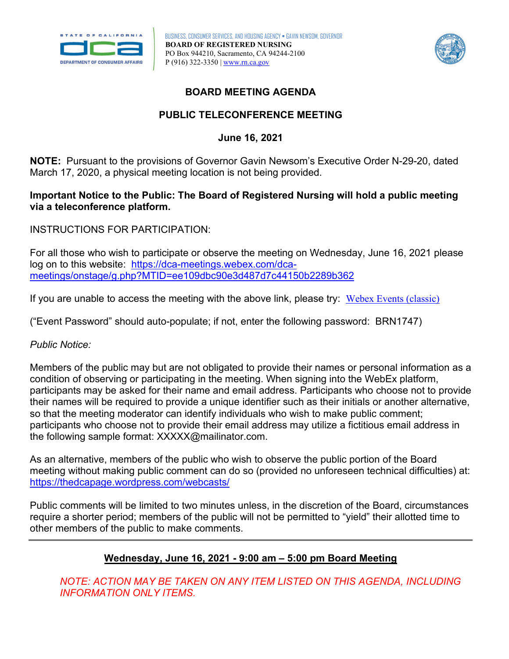



# **BOARD MEETING AGENDA**

# **PUBLIC TELECONFERENCE MEETING**

### **June 16, 2021**

 March 17, 2020, a physical meeting location is not being provided. **NOTE:** Pursuant to the provisions of Governor Gavin Newsom's Executive Order N-29-20, dated

## **via a teleconference platform. Important Notice to the Public: The Board of Registered Nursing will hold a public meeting**

INSTRUCTIONS FOR PARTICIPATION:

meetings/onstage/g.php?MTID=ee109dbc90e3d487d7c44150b2289b362 For all those who wish to participate or observe the meeting on Wednesday, June 16, 2021 please log on to this website: [https://dca-meetings.webex.com/dca-](https://dca-meetings.webex.com/dca-meetings/onstage/g.php?MTID=ee109dbc90e3d487d7c44150b2289b362)

<u>meetings/onstage/g.php?MTID=ee109dbc90e3d487d7c44150b2289b362</u><br>If you are unable to access the meeting with the above link, please try: <u>Webex Events (classic)</u>

("Event Password" should auto-populate; if not, enter the following password: BRN1747)

#### *Public Notice:*

 Members of the public may but are not obligated to provide their names or personal information as a condition of observing or participating in the meeting. When signing into the WebEx platform, participants may be asked for their name and email address. Participants who choose not to provide their names will be required to provide a unique identifier such as their initials or another alternative, so that the meeting moderator can identify individuals who wish to make public comment; participants who choose not to provide their email address may utilize a fictitious email address in the following sample format: [XXXXX@mailinator.com.](mailto:XXXXX@mailinator.com)

https://thedcapage.wordpress.com/webcasts/ As an alternative, members of the public who wish to observe the public portion of the Board meeting without making public comment can do so (provided no unforeseen technical difficulties) at:

 require a shorter period; members of the public will not be permitted to "yield" their allotted time to Public comments will be limited to two minutes unless, in the discretion of the Board, circumstances other members of the public to make comments.

# **Wednesday, June 16, 2021 - 9:00 am – 5:00 pm Board Meeting**

*NOTE: ACTION MAY BE TAKEN ON ANY ITEM LISTED ON THIS AGENDA, INCLUDING INFORMATION ONLY ITEMS.*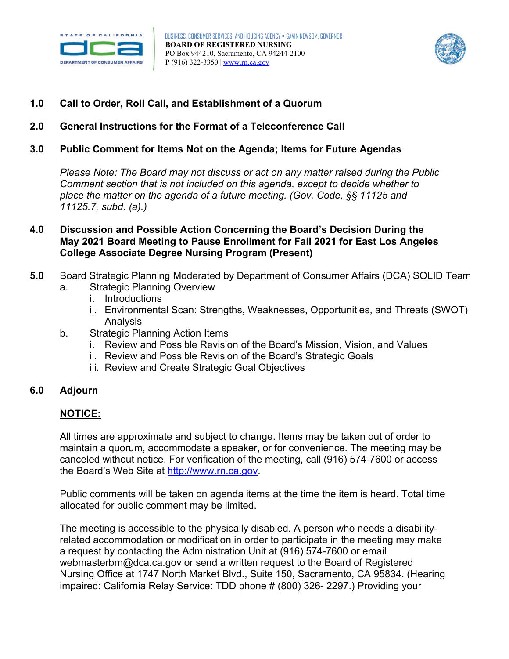



- **1.0 Call to Order, Roll Call, and Establishment of a Quorum**
- **2.0 General Instructions for the Format of a Teleconference Call**
- **3.0 Public Comment for Items Not on the Agenda; Items for Future Agendas**

*Please Note: The Board may not discuss or act on any matter raised during the Public Comment section that is not included on this agenda, except to decide whether to place the matter on the agenda of a future meeting. (Gov. Code, §§ 11125 and 11125.7, subd. (a).)* 

- **College Associate Degree Nursing Program (Present) 4.0 Discussion and Possible Action Concerning the Board's Decision During the May 2021 Board Meeting to Pause Enrollment for Fall 2021 for East Los Angeles**
- **5.0**  Board Strategic Planning Moderated by Department of Consumer Affairs (DCA) SOLID Team
	- a. Strategic Planning Overview
		- i. Introductions
		- ii. Environmental Scan: Strengths, Weaknesses, Opportunities, and Threats (SWOT) Analysis
	- b. Strategic Planning Action Items
		- i. Review and Possible Revision of the Board's Mission, Vision, and Values
		- ii. Review and Possible Revision of the Board's Strategic Goals
		- iii. Review and Create Strategic Goal Objectives

#### **6.0 Adjourn**

# **NOTICE:**

 All times are approximate and subject to change. Items may be taken out of order to canceled without notice. For verification of the meeting, call (916) 574-7600 or access maintain a quorum, accommodate a speaker, or for convenience. The meeting may be the Board's Web Site at [http://www.rn.ca.gov.](http://www.rn.ca.gov/)

Public comments will be taken on agenda items at the time the item is heard. Total time allocated for public comment may be limited.

 Nursing Office at 1747 North Market Blvd., Suite 150, Sacramento, CA 95834. (Hearing The meeting is accessible to the physically disabled. A person who needs a disabilityrelated accommodation or modification in order to participate in the meeting may make a request by contacting the Administration Unit at (916) 574-7600 or email [webmasterbrn@dca.ca.gov](mailto:webmasterbrn@dca.ca.gov) or send a written request to the Board of Registered impaired: California Relay Service: TDD phone # (800) 326- 2297.) Providing your